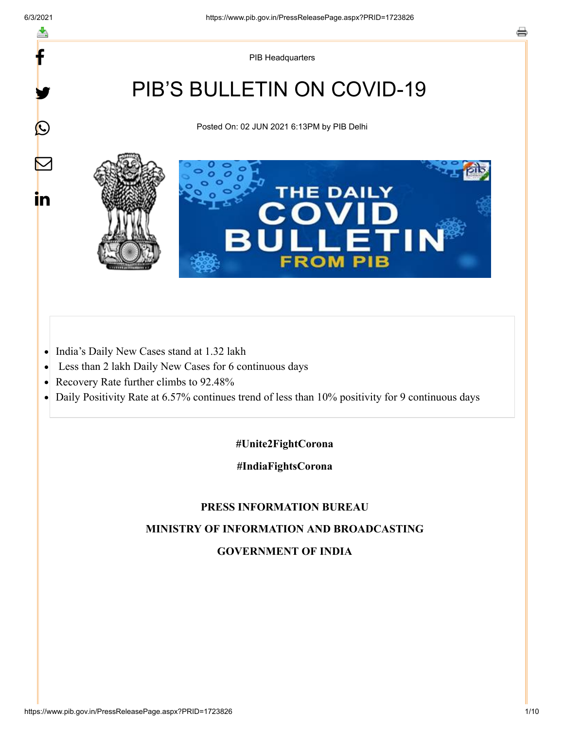f

y.

 $\bigcirc$ 

 $\color{red} \blacktriangleright$ 

in

PIB Headquarters

# PIB'S BULLETIN ON COVID-19

Posted On: 02 JUN 2021 6:13PM by PIB Delhi



- India's Daily New Cases stand at 1.32 lakh  $\bullet$
- Less than 2 lakh Daily New Cases for 6 continuous days  $\bullet$
- Recovery Rate further climbs to 92.48%  $\bullet$
- Daily Positivity Rate at 6.57% continues trend of less than 10% positivity for 9 continuous days  $\bullet$

#### **#Unite2FightCorona**

#### **#IndiaFightsCorona**

#### **PRESS INFORMATION BUREAU**

## **MINISTRY OF INFORMATION AND BROADCASTING**

### **GOVERNMENT OF INDIA**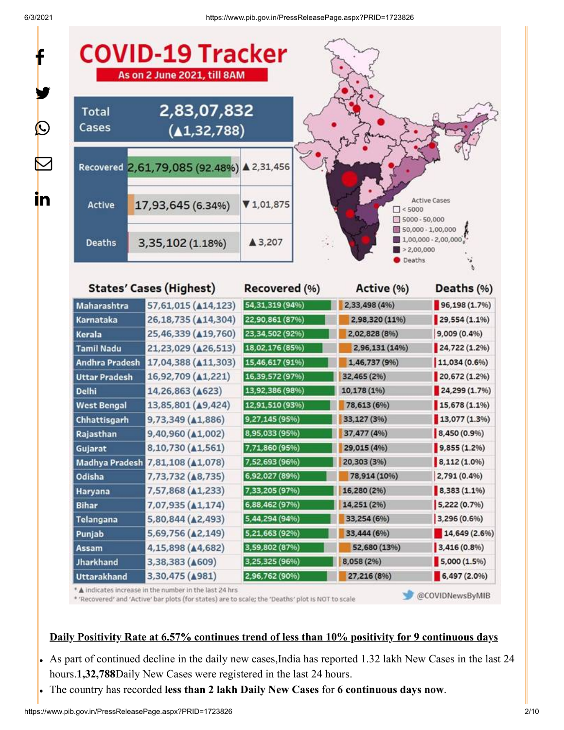f

y.

 $\bm{\mathcal{Q}}$ 

 $\bm{\nabla}$ 

in

| <b>Total</b><br>Cases | 2,83,07,832<br>(41, 32, 788)              |                   |                                       |                                                                                                                  |
|-----------------------|-------------------------------------------|-------------------|---------------------------------------|------------------------------------------------------------------------------------------------------------------|
|                       | Recovered 2,61,79,085 (92.48%) ▲ 2,31,456 |                   |                                       |                                                                                                                  |
| Active                | 17,93,645 (6.34%)                         | V1,01,875         | $\Box$ < 5000<br>$\Box$ 5000 - 50,000 | <b>Active Cases</b>                                                                                              |
| <b>Deaths</b>         | 3,35,102 (1.18%)                          | ▲ 3,207           | > 2,00,000<br>Deaths                  | 50,000 - 1,00,000<br>$1,00,000 - 2,00,000$                                                                       |
|                       | <b>States' Cases (Highest)</b>            | Recovered (%)     | Active (%)                            | Deaths (%)                                                                                                       |
| Maharashtra           | 57,61,015 (414,123)                       | 54, 31, 319 (94%) | 2,33,498 (4%)                         | 96,198(1.7%                                                                                                      |
| Karnataka             | 26,18,735 ( $\triangle$ 14,304)           | 22,90,861 (87%)   | 2,98,320 (11%)                        | 29,554 (1.1%)                                                                                                    |
| Kerala                | 25,46,339 ( $\triangle$ 19,760)           | 23,34,502 (92%)   | 2,02,828 (8%)                         | 9,009 (0.4%)                                                                                                     |
| <b>Tamil Nadu</b>     | 21,23,029 ( $\triangle$ 26,513)           | 18,02,176 (85%)   | 2,96,131 (14%)                        | 24,722 (1.2%)                                                                                                    |
| <b>Andhra Pradesh</b> | 17,04,388 ( $\triangle 11,303$ )          | 15,46,617 (91%)   | 1,46,737 (9%)                         | 11,034 (0.6%)                                                                                                    |
|                       |                                           |                   |                                       |                                                                                                                  |
| <b>Uttar Pradesh</b>  | 16,92,709 (A1,221)                        | 16,39,572 (97%)   | 32,465 (2%)                           |                                                                                                                  |
| <b>Delhi</b>          | 14,26,863 ( $\triangle$ 623)              | 13,92,386 (98%)   | 10,178 (1%)                           |                                                                                                                  |
| <b>West Bengal</b>    | 13,85,801 (49,424)                        | 12,91,510 (93%)   | 78,613 (6%)                           |                                                                                                                  |
| Chhattisgarh          | 9,73,349 ( $\triangle$ 1,886)             | 9,27,145 (95%)    | 33,127 (3%)                           |                                                                                                                  |
| Rajasthan             | 9,40,960 (A1,002)                         | 8,95,033 (95%)    | 37,477 (4%)                           | 8,450 (0.9%)                                                                                                     |
| Gujarat               | 8,10,730 ( $\triangle$ 1,561)             | 7,71,860 (95%)    | 29,015 (4%)                           | $9,855(1.2\%)$                                                                                                   |
|                       | Madhya Pradesh 7,81,108 (1,078)           | 7,52,693 (96%)    | 20,303 (3%)                           | 8,112 (1.0%)                                                                                                     |
| Odisha                | 7,73,732 ( $\triangle$ 8,735)             | 6,92,027 (89%)    | 78,914 (10%)                          | $2,791(0.4\%)$                                                                                                   |
| Haryana               | 7,57,868 (41,233)                         | 7,33,205 (97%)    | 16,280 (2%)                           |                                                                                                                  |
| <b>Bihar</b>          | 7,07,935 ( $\triangle$ 1,174)             | 6,88,462 (97%)    | 14,251 (2%)                           | 5,222 (0.7%)                                                                                                     |
| Telangana             | 5,80,844 ( $\triangle$ 2,493)             | 5,44,294 (94%)    | 33,254 (6%)                           | 3,296 (0.6%)                                                                                                     |
| Punjab                | 5,69,756 ( $\triangle$ 2,149)             | 5,21,663 (92%)    | 33,444 (6%)                           |                                                                                                                  |
| Assam                 | 4,15,898 (44,682)                         | 3,59,802 (87%)    | 52,680 (13%)                          | 3,416 (0.8%)                                                                                                     |
| <b>Jharkhand</b>      | 3,38,383 ( $\triangle$ 609)               | 3,25,325 (96%)    | 8,058 (2%)                            | 20,672 (1.2%)<br>24,299 (1.7%)<br>15,678 (1.1%)<br>13,077 (1.3%)<br>8,383 (1.1%)<br>14,649 (2.6%)<br>5,000(1.5%) |

\* 'Recovered' and 'Active' bar plots (for states) are to scale; the 'Deaths' plot is NOT to scale

@COVIDNewsByMIB

## **Daily Positivity Rate at 6.57% continues trend of less than 10% positivity for 9 continuous days**

- As part of continued decline in the daily new cases,India has reported 1.32 lakh New Cases in the last 24 hours.**1,32,788**Daily New Cases were registered in the last 24 hours.
- The country has recorded **less than 2 lakh Daily New Cases** for **6 continuous days now**.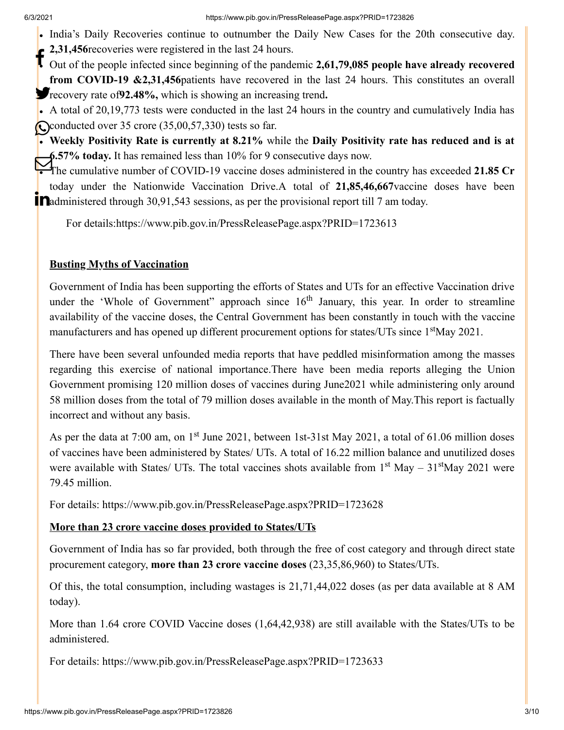- India's Daily Recoveries continue to outnumber the Daily New Cases for the 20th consecutive day.
- **2,31,456**recoveries were registered in the last 24 hours.

Out of the people infected since beginning of the pandemic **2,61,79,085 people have already recovered from COVID-19 &2,31,456**patients have recovered in the last 24 hours. This constitutes an overall **F**recovery rate of **92.48%**, which is showing an increasing trend.

- A total of 20,19,773 tests were conducted in the last 24 hours in the country and cumulatively India has **Conducted over 35 crore (35,00,57,330) tests so far.**
- **Weekly Positivity Rate is currently at 8.21%** while the **Daily Positivity rate has reduced and is at 6.57% today.** It has remained less than 10% for 9 consecutive days now.

The cumulative number of COVID-19 vaccine doses administered in the country has exceeded 21.85 Cr. today under the Nationwide Vaccination Drive.A total of **21,85,46,667**vaccine doses have been  $\mathbf{\hat{a}}$  administered through 30,91,543 sessions, as per the provisional report till 7 am today.

For details[:https://www.pib.gov.in/PressReleasePage.aspx?PRID=1723613](https://www.pib.gov.in/PressReleasePage.aspx?PRID=1723613)

## **Busting Myths of Vaccination**

Government of India has been supporting the efforts of States and UTs for an effective Vaccination drive under the 'Whole of Government'' approach since  $16<sup>th</sup>$  January, this year. In order to streamline availability of the vaccine doses, the Central Government has been constantly in touch with the vaccine manufacturers and has opened up different procurement options for states/UTs since 1<sup>st</sup>May 2021.

There have been several unfounded media reports that have peddled misinformation among the masses regarding this exercise of national importance.There have been media reports alleging the Union Government promising 120 million doses of vaccines during June2021 while administering only around 58 million doses from the total of 79 million doses available in the month of May.This report is factually incorrect and without any basis.

As per the data at 7:00 am, on  $1<sup>st</sup>$  June 2021, between 1st-31st May 2021, a total of 61.06 million doses of vaccines have been administered by States/ UTs. A total of 16.22 million balance and unutilized doses were available with States/ UTs. The total vaccines shots available from  $1<sup>st</sup>$  May  $-31<sup>st</sup>$ May 2021 were 79.45 million.

For details:<https://www.pib.gov.in/PressReleasePage.aspx?PRID=1723628>

## **More than 23 crore vaccine doses provided to States/UTs**

Government of India has so far provided, both through the free of cost category and through direct state procurement category, **more than 23 crore vaccine doses** (23,35,86,960) to States/UTs.

Of this, the total consumption, including wastages is 21,71,44,022 doses (as per data available at 8 AM today).

More than 1.64 crore COVID Vaccine doses (1,64,42,938) are still available with the States/UTs to be administered.

For details:<https://www.pib.gov.in/PressReleasePage.aspx?PRID=1723633>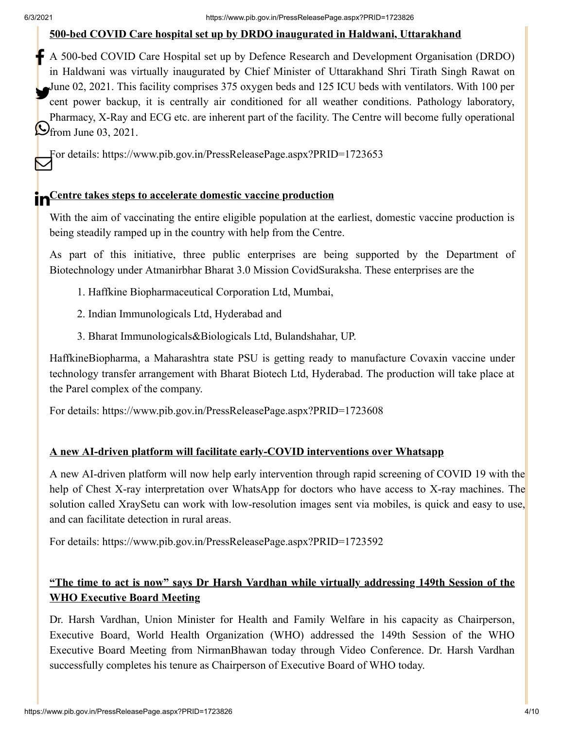#### **500-bed COVID Care hospital set up by DRDO inaugurated in Haldwani, Uttarakhand**

A 500-bed COVID Care Hospital set up by Defence Research and Development Organisation (DRDO) in Haldwani was virtually inaugurated by Chief Minister of Uttarakhand Shri Tirath Singh Rawat on June 02, 2021. This facility comprises 375 oxygen beds and 125 ICU beds with ventilators. With 100 per cent power backup, it is centrally air conditioned for all weather conditions. Pathology laboratory, Pharmacy, X-Ray and ECG etc. are inherent part of the facility. The Centre will become fully operational  $\bigodot$  from June 03, 2021.

For details:<https://www.pib.gov.in/PressReleasePage.aspx?PRID=1723653>

## **in**Centre takes steps to accelerate domestic vaccine production

With the aim of vaccinating the entire eligible population at the earliest, domestic vaccine production is being steadily ramped up in the country with help from the Centre.

As part of this initiative, three public enterprises are being supported by the Department of Biotechnology under Atmanirbhar Bharat 3.0 Mission CovidSuraksha. These enterprises are the

- 1. Haffkine Biopharmaceutical Corporation Ltd, Mumbai,
- 2. Indian Immunologicals Ltd, Hyderabad and
- 3. Bharat Immunologicals&Biologicals Ltd, Bulandshahar, UP.

HaffkineBiopharma, a Maharashtra state PSU is getting ready to manufacture Covaxin vaccine under technology transfer arrangement with Bharat Biotech Ltd, Hyderabad. The production will take place at the Parel complex of the company.

For details:<https://www.pib.gov.in/PressReleasePage.aspx?PRID=1723608>

#### **A new AI-driven platform will facilitate early-COVID interventions over Whatsapp**

A new AI-driven platform will now help early intervention through rapid screening of COVID 19 with the help of Chest X-ray interpretation over WhatsApp for doctors who have access to X-ray machines. The solution called XraySetu can work with low-resolution images sent via mobiles, is quick and easy to use, and can facilitate detection in rural areas.

For details:<https://www.pib.gov.in/PressReleasePage.aspx?PRID=1723592>

## **"The time to act is now" says Dr Harsh Vardhan while virtually addressing 149th Session of the WHO Executive Board Meeting**

Dr. Harsh Vardhan, Union Minister for Health and Family Welfare in his capacity as Chairperson, Executive Board, World Health Organization (WHO) addressed the 149th Session of the WHO Executive Board Meeting from NirmanBhawan today through Video Conference. Dr. Harsh Vardhan successfully completes his tenure as Chairperson of Executive Board of WHO today.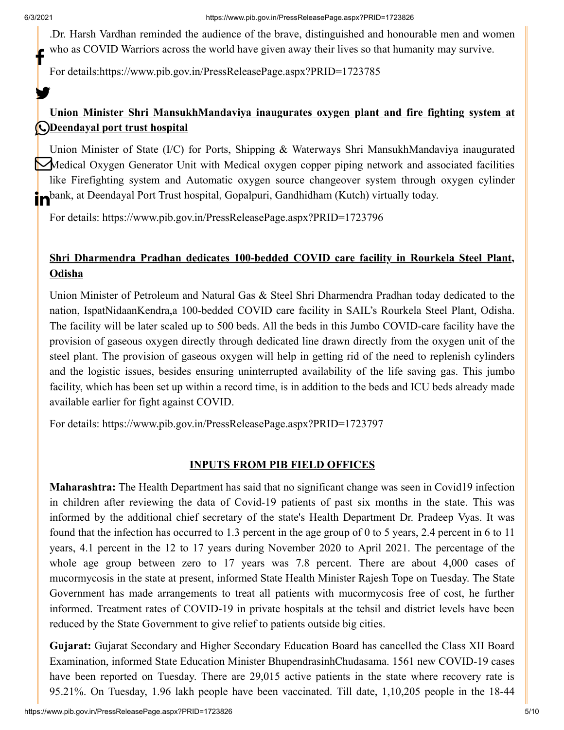y.

.Dr. Harsh Vardhan reminded the audience of the brave, distinguished and honourable men and women who as COVID Warriors across the world have given away their lives so that humanity may survive. f

For details[:https://www.pib.gov.in/PressReleasePage.aspx?PRID=1723785](https://www.pib.gov.in/PressReleasePage.aspx?PRID=1723785)

## **Union Minister Shri MansukhMandaviya inaugurates oxygen plant and fire fighting system at Deendayal port trust hospital**

Union Minister of State (I/C) for Ports, Shipping & Waterways Shri MansukhMandaviya inaugurated Medical Oxygen Generator Unit with Medical oxygen copper piping network and associated facilities like Firefighting system and Automatic oxygen source changeover system through oxygen cylinder **in**bank, at Deendayal Port Trust hospital, Gopalpuri, Gandhidham (Kutch) virtually today.

For details:<https://www.pib.gov.in/PressReleasePage.aspx?PRID=1723796>

## **Shri Dharmendra Pradhan dedicates 100-bedded COVID care facility in Rourkela Steel Plant, Odisha**

Union Minister of Petroleum and Natural Gas & Steel Shri Dharmendra Pradhan today dedicated to the nation, IspatNidaanKendra,a 100-bedded COVID care facility in SAIL's Rourkela Steel Plant, Odisha. The facility will be later scaled up to 500 beds. All the beds in this Jumbo COVID-care facility have the provision of gaseous oxygen directly through dedicated line drawn directly from the oxygen unit of the steel plant. The provision of gaseous oxygen will help in getting rid of the need to replenish cylinders and the logistic issues, besides ensuring uninterrupted availability of the life saving gas. This jumbo facility, which has been set up within a record time, is in addition to the beds and ICU beds already made available earlier for fight against COVID.

For details:<https://www.pib.gov.in/PressReleasePage.aspx?PRID=1723797>

### **INPUTS FROM PIB FIELD OFFICES**

**Maharashtra:** The Health Department has said that no significant change was seen in Covid19 infection in children after reviewing the data of Covid-19 patients of past six months in the state. This was informed by the additional chief secretary of the state's Health Department Dr. Pradeep Vyas. It was found that the infection has occurred to 1.3 percent in the age group of 0 to 5 years, 2.4 percent in 6 to 11 years, 4.1 percent in the 12 to 17 years during November 2020 to April 2021. The percentage of the whole age group between zero to 17 years was 7.8 percent. There are about 4,000 cases of mucormycosis in the state at present, informed State Health Minister Rajesh Tope on Tuesday. The State Government has made arrangements to treat all patients with mucormycosis free of cost, he further informed. Treatment rates of COVID-19 in private hospitals at the tehsil and district levels have been reduced by the State Government to give relief to patients outside big cities.

**Gujarat:** Gujarat Secondary and Higher Secondary Education Board has cancelled the Class XII Board Examination, informed State Education Minister BhupendrasinhChudasama. 1561 new COVID-19 cases have been reported on Tuesday. There are 29,015 active patients in the state where recovery rate is 95.21%. On Tuesday, 1.96 lakh people have been vaccinated. Till date, 1,10,205 people in the 18-44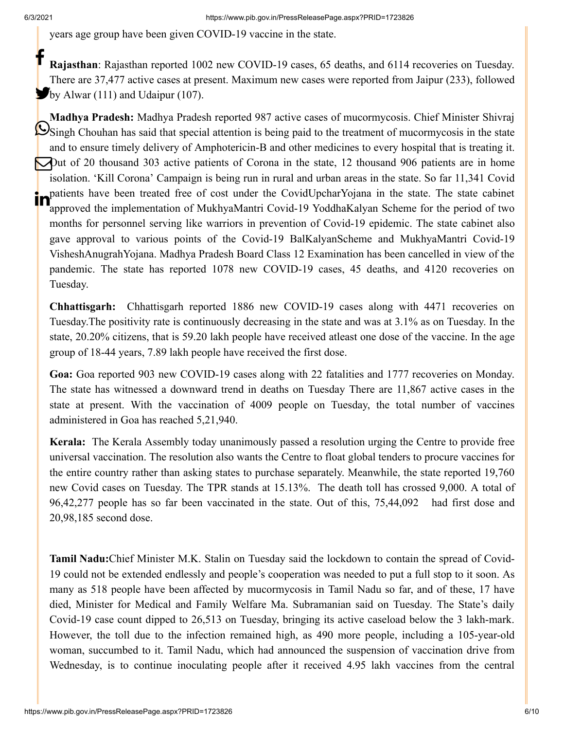years age group have been given COVID-19 vaccine in the state.

**Rajasthan**: Rajasthan reported 1002 new COVID-19 cases, 65 deaths, and 6114 recoveries on Tuesday. There are 37,477 active cases at present. Maximum new cases were reported from Jaipur (233), followed **b**y Alwar (111) and Udaipur (107). f

**Madhya Pradesh:** Madhya Pradesh reported 987 active cases of mucormycosis. Chief Minister Shivraj Singh Chouhan has said that special attention is being paid to the treatment of mucormycosis in the state and to ensure timely delivery of Amphotericin-B and other medicines to every hospital that is treating it. Out of 20 thousand 303 active patients of Corona in the state, 12 thousand 906 patients are in home isolation. 'Kill Corona' Campaign is being run in rural and urban areas in the state. So far 11,341 Covid patients have been treated free of cost under the CovidUpcharYojana in the state. The state cabinet approved the implementation of MukhyaMantri Covid-19 YoddhaKalyan Scheme for the period of two months for personnel serving like warriors in prevention of Covid-19 epidemic. The state cabinet also gave approval to various points of the Covid-19 BalKalyanScheme and MukhyaMantri Covid-19 VisheshAnugrahYojana. Madhya Pradesh Board Class 12 Examination has been cancelled in view of the pandemic. The state has reported 1078 new COVID-19 cases, 45 deaths, and 4120 recoveries on Tuesday.

**Chhattisgarh:** Chhattisgarh reported 1886 new COVID-19 cases along with 4471 recoveries on Tuesday.The positivity rate is continuously decreasing in the state and was at 3.1% as on Tuesday. In the state, 20.20% citizens, that is 59.20 lakh people have received atleast one dose of the vaccine. In the age group of 18-44 years, 7.89 lakh people have received the first dose.

**Goa:** Goa reported 903 new COVID-19 cases along with 22 fatalities and 1777 recoveries on Monday. The state has witnessed a downward trend in deaths on Tuesday There are 11,867 active cases in the state at present. With the vaccination of 4009 people on Tuesday, the total number of vaccines administered in Goa has reached 5,21,940.

**Kerala:** The Kerala Assembly today unanimously passed a resolution urging the Centre to provide free universal vaccination. The resolution also wants the Centre to float global tenders to procure vaccines for the entire country rather than asking states to purchase separately. Meanwhile, the state reported 19,760 new Covid cases on Tuesday. The TPR stands at 15.13%. The death toll has crossed 9,000. A total of 96,42,277 people has so far been vaccinated in the state. Out of this, 75,44,092 had first dose and 20,98,185 second dose.

**Tamil Nadu:**Chief Minister M.K. Stalin on Tuesday said the lockdown to contain the spread of Covid-19 could not be extended endlessly and people's cooperation was needed to put a full stop to it soon. As many as 518 people have been affected by mucormycosis in Tamil Nadu so far, and of these, 17 have died, Minister for Medical and Family Welfare Ma. Subramanian said on Tuesday. The State's daily Covid-19 case count dipped to 26,513 on Tuesday, bringing its active caseload below the 3 lakh-mark. However, the toll due to the infection remained high, as 490 more people, including a 105-year-old woman, succumbed to it. Tamil Nadu, which had announced the suspension of vaccination drive from Wednesday, is to continue inoculating people after it received 4.95 lakh vaccines from the central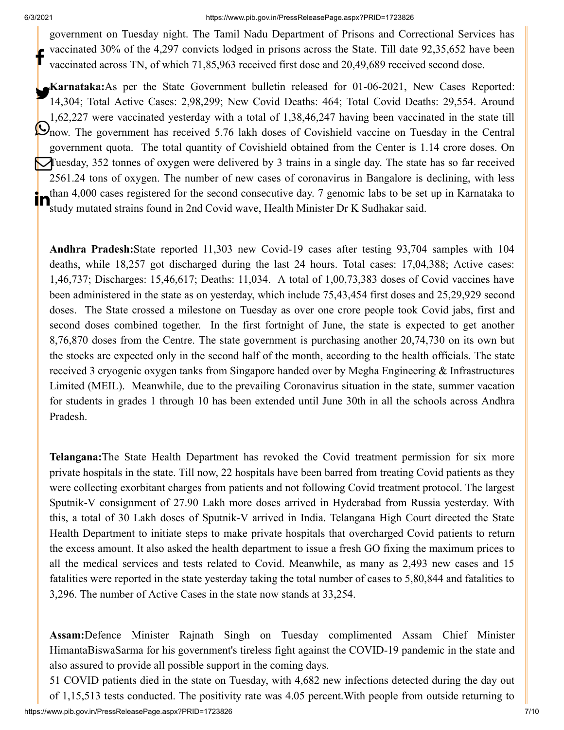#### 6/3/2021 https://www.pib.gov.in/PressReleasePage.aspx?PRID=1723826

government on Tuesday night. The Tamil Nadu Department of Prisons and Correctional Services has vaccinated 30% of the 4,297 convicts lodged in prisons across the State. Till date 92,35,652 have been vaccinated across TN, of which 71,85,963 received first dose and 20,49,689 received second dose. f

**Karnataka:**As per the State Government bulletin released for 01-06-2021, New Cases Reported:<br>14.204: Total Active Gessex 2.08.200. New Covid Desther 464: Total Covid Desther 20.554. Around 14,304; Total Active Cases: 2,98,299; New Covid Deaths: 464; Total Covid Deaths: 29,554. Around 1,62,227 were vaccinated yesterday with a total of 1,38,46,247 having been vaccinated in the state till now. The government has received 5.76 lakh doses of Covishield vaccine on Tuesday in the Central government quota. The total quantity of Covishield obtained from the Center is 1.14 crore doses. On Tuesday, 352 tonnes of oxygen were delivered by 3 trains in a single day. The state has so far received 2561.24 tons of oxygen. The number of new cases of coronavirus in Bangalore is declining, with less than 4,000 cases registered for the second consecutive day. 7 genomic labs to be set up in Karnataka to study mutated strains found in 2nd Covid wave, Health Minister Dr K Sudhakar said. in

**Andhra Pradesh:**State reported 11,303 new Covid-19 cases after testing 93,704 samples with 104 deaths, while 18,257 got discharged during the last 24 hours. Total cases: 17,04,388; Active cases: 1,46,737; Discharges: 15,46,617; Deaths: 11,034. A total of 1,00,73,383 doses of Covid vaccines have been administered in the state as on yesterday, which include 75,43,454 first doses and 25,29,929 second doses. The State crossed a milestone on Tuesday as over one crore people took Covid jabs, first and second doses combined together. In the first fortnight of June, the state is expected to get another 8,76,870 doses from the Centre. The state government is purchasing another 20,74,730 on its own but the stocks are expected only in the second half of the month, according to the health officials. The state received 3 cryogenic oxygen tanks from Singapore handed over by Megha Engineering & Infrastructures Limited (MEIL). Meanwhile, due to the prevailing Coronavirus situation in the state, summer vacation for students in grades 1 through 10 has been extended until June 30th in all the schools across Andhra Pradesh.

**Telangana:**The State Health Department has revoked the Covid treatment permission for six more private hospitals in the state. Till now, 22 hospitals have been barred from treating Covid patients as they were collecting exorbitant charges from patients and not following Covid treatment protocol. The largest Sputnik-V consignment of 27.90 Lakh more doses arrived in Hyderabad from Russia yesterday. With this, a total of 30 Lakh doses of Sputnik-V arrived in India. Telangana High Court directed the State Health Department to initiate steps to make private hospitals that overcharged Covid patients to return the excess amount. It also asked the health department to issue a fresh GO fixing the maximum prices to all the medical services and tests related to Covid. Meanwhile, as many as 2,493 new cases and 15 fatalities were reported in the state yesterday taking the total number of cases to 5,80,844 and fatalities to 3,296. The number of Active Cases in the state now stands at 33,254.

**Assam:**Defence Minister Rajnath Singh on Tuesday complimented Assam Chief Minister HimantaBiswaSarma for his government's tireless fight against the COVID-19 pandemic in the state and also assured to provide all possible support in the coming days.

https://www.pib.gov.in/PressReleasePage.aspx?PRID=1723826 7/10 51 COVID patients died in the state on Tuesday, with 4,682 new infections detected during the day out of 1,15,513 tests conducted. The positivity rate was 4.05 percent.With people from outside returning to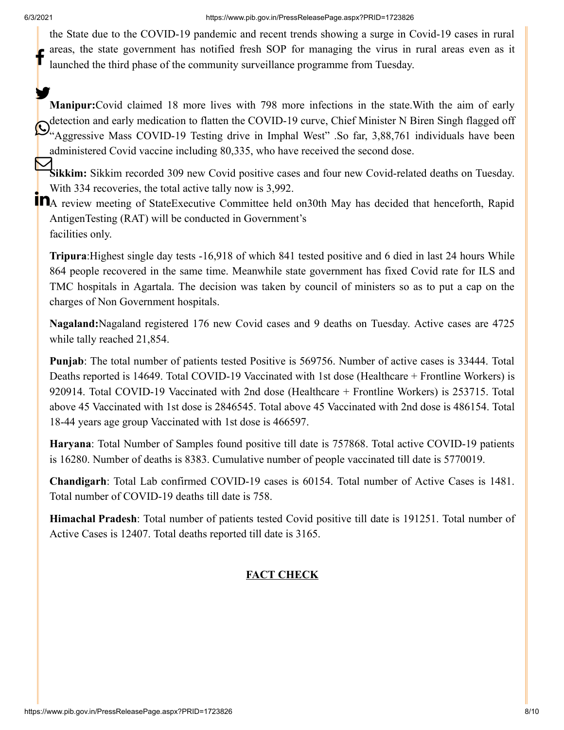the State due to the COVID-19 pandemic and recent trends showing a surge in Covid-19 cases in rural areas, the state government has notified fresh SOP for managing the virus in rural areas even as it launched the third phase of the community surveillance programme from Tuesday. f

**Manipur:**Covid claimed 18 more lives with 798 more infections in the state.With the aim of early detection and early medication to flatten the COVID-19 curve, Chief Minister N Biren Singh flagged off Quetection and early medication to flatten the COVID-19 curve, Chief Minister N Biren Singh Hagged off<br>"Aggressive Mass COVID-19 Testing drive in Imphal West" .So far, 3,88,761 individuals have been administered Covid vaccine including 80,335, who have received the second dose. У.

Sikkim: Sikkim recorded 309 new Covid positive cases and four new Covid-related deaths on Tuesday. With 334 recoveries, the total active tally now is 3,992.

**THE TERN FRANCE CONSTRUCTED**<br>**THE REVIEW meeting of StateExecutive Committee held on30th May has decided that henceforth, Rapid** AntigenTesting (RAT) will be conducted in Government's facilities only.

**Tripura**:Highest single day tests -16,918 of which 841 tested positive and 6 died in last 24 hours While 864 people recovered in the same time. Meanwhile state government has fixed Covid rate for ILS and TMC hospitals in Agartala. The decision was taken by council of ministers so as to put a cap on the charges of Non Government hospitals.

**Nagaland:**Nagaland registered 176 new Covid cases and 9 deaths on Tuesday. Active cases are 4725 while tally reached 21,854.

**Punjab**: The total number of patients tested Positive is 569756. Number of active cases is 33444. Total Deaths reported is 14649. Total COVID-19 Vaccinated with 1st dose (Healthcare + Frontline Workers) is 920914. Total COVID-19 Vaccinated with 2nd dose (Healthcare + Frontline Workers) is 253715. Total above 45 Vaccinated with 1st dose is 2846545. Total above 45 Vaccinated with 2nd dose is 486154. Total 18-44 years age group Vaccinated with 1st dose is 466597.

**Haryana**: Total Number of Samples found positive till date is 757868. Total active COVID-19 patients is 16280. Number of deaths is 8383. Cumulative number of people vaccinated till date is 5770019.

**Chandigarh**: Total Lab confirmed COVID-19 cases is 60154. Total number of Active Cases is 1481. Total number of COVID-19 deaths till date is 758.

**Himachal Pradesh**: Total number of patients tested Covid positive till date is 191251. Total number of Active Cases is 12407. Total deaths reported till date is 3165.

## **FACT CHECK**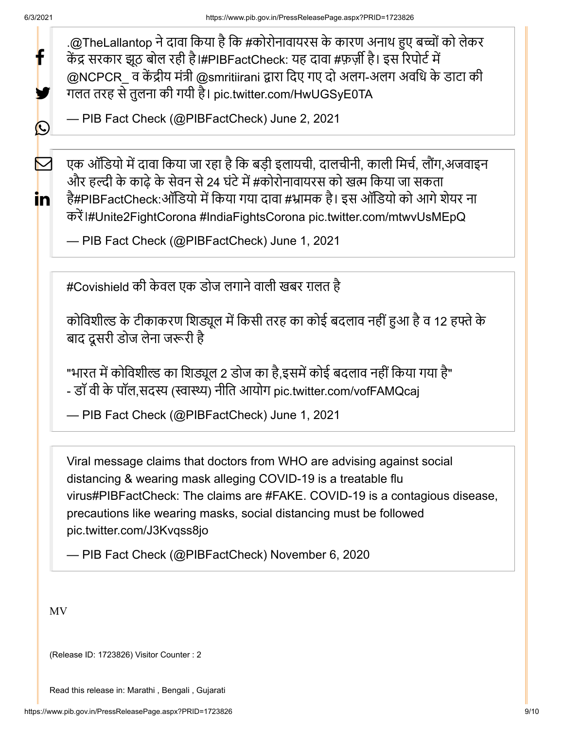f

У.

 $\bigcirc$ 

 $\boldsymbol{\nabla}$ 

<u>in</u>

[.@TheLallantop](https://twitter.com/TheLallantop?ref_src=twsrc%5Etfw) ने दावा किया है कि #[कोरोनावायरस](https://twitter.com/hashtag/%E0%A4%95%E0%A5%8B%E0%A4%B0%E0%A5%8B%E0%A4%A8%E0%A4%BE%E0%A4%B5%E0%A4%BE%E0%A4%AF%E0%A4%B0%E0%A4%B8?src=hash&ref_src=twsrc%5Etfw) के कारण अनाथ हुए बच्चों को लेकर केंद्र सरकार झूठ बोल रही है।[#PIBFactCheck:](https://twitter.com/hashtag/PIBFactCheck?src=hash&ref_src=twsrc%5Etfw) यह दावा #[फ़र्ज़ी](https://twitter.com/hashtag/%E0%A4%AB%E0%A4%BC%E0%A4%B0%E0%A5%8D%E0%A4%9C%E0%A4%BC%E0%A5%80?src=hash&ref_src=twsrc%5Etfw) है। इस रिपोर्ट में [@NCPCR\\_](https://twitter.com/NCPCR_?ref_src=twsrc%5Etfw) व केंद्रीय मंत्री [@smritiirani](https://twitter.com/smritiirani?ref_src=twsrc%5Etfw) द्वारा दिए गए दो अलग-अलग अवधि के डाटा की गलत तरह से तुलना की गयी है। [pic.twitter.com/HwUGSyE0TA](https://t.co/HwUGSyE0TA)

— PIB Fact Check (@PIBFactCheck) [June 2, 2021](https://twitter.com/PIBFactCheck/status/1400043297549152262?ref_src=twsrc%5Etfw)

एक ऑडियो में दावा किया जा रहा है कि बड़ी इलायची, दालचीनी, काली मिर्च, लौंग,अजवाइन और हल्दी के काढ़े के सेवन से 24 घंटे में #[कोरोनावायरस](https://twitter.com/hashtag/%E0%A4%95%E0%A5%8B%E0%A4%B0%E0%A5%8B%E0%A4%A8%E0%A4%BE%E0%A4%B5%E0%A4%BE%E0%A4%AF%E0%A4%B0%E0%A4%B8?src=hash&ref_src=twsrc%5Etfw) को खत्म किया जा सकता है[#PIBFactCheck](https://twitter.com/hashtag/PIBFactCheck?src=hash&ref_src=twsrc%5Etfw):ऑडियो में किया गया दावा #[भ्रामक](https://twitter.com/hashtag/%E0%A4%AD%E0%A5%8D%E0%A4%B0%E0%A4%BE%E0%A4%AE%E0%A4%95?src=hash&ref_src=twsrc%5Etfw) है। इस ऑडियो को आगे शेयर ना करें।[#Unite2FightCorona](https://twitter.com/hashtag/Unite2FightCorona?src=hash&ref_src=twsrc%5Etfw) [#IndiaFightsCorona](https://twitter.com/hashtag/IndiaFightsCorona?src=hash&ref_src=twsrc%5Etfw) [pic.twitter.com/mtwvUsMEpQ](https://t.co/mtwvUsMEpQ)

— PIB Fact Check (@PIBFactCheck) [June 1, 2021](https://twitter.com/PIBFactCheck/status/1399707423946858502?ref_src=twsrc%5Etfw)

[#Covishield](https://twitter.com/hashtag/Covishield?src=hash&ref_src=twsrc%5Etfw) की केवल एक डोज लगाने वाली खबर ग़लत है

कोविशील्ड के टीकाकरण शिड्यूल में किसी तरह का कोई बदलाव नहीं हुआ है व 12 हफ्ते के बाद दूसरी डोज लेना जरूरी है

"भारत में कोविशील्ड का शिड्यूल 2 डोज का है,इसमें कोई बदलाव नहीं किया गया है" - डॉ वी के पॉल,सदस्य (स्वास्थ्य) नीति आयोग [pic.twitter.com/vofFAMQcaj](https://t.co/vofFAMQcaj)

— PIB Fact Check (@PIBFactCheck) [June 1, 2021](https://twitter.com/PIBFactCheck/status/1399722111728508939?ref_src=twsrc%5Etfw)

Viral message claims that doctors from WHO are advising against social distancing & wearing mask alleging COVID-19 is a treatable flu viru[s#PIBFactCheck:](https://twitter.com/hashtag/PIBFactCheck?src=hash&ref_src=twsrc%5Etfw) The claims are [#FAKE](https://twitter.com/hashtag/FAKE?src=hash&ref_src=twsrc%5Etfw). COVID-19 is a contagious disease, precautions like wearing masks, social distancing must be followed [pic.twitter.com/J3Kvqss8jo](https://t.co/J3Kvqss8jo)

— PIB Fact Check (@PIBFactCheck) [November 6, 2020](https://twitter.com/PIBFactCheck/status/1324654212706258944?ref_src=twsrc%5Etfw)

MV

(Release ID: 1723826) Visitor Counter : 2

Read this release in: [Marathi ,](https://pib.gov.in/PressReleasePage.aspx?PRID=1723907) [Bengali](https://pib.gov.in/PressReleasePage.aspx?PRID=1723935) , [Gujarati](https://pib.gov.in/PressReleasePage.aspx?PRID=1723891)